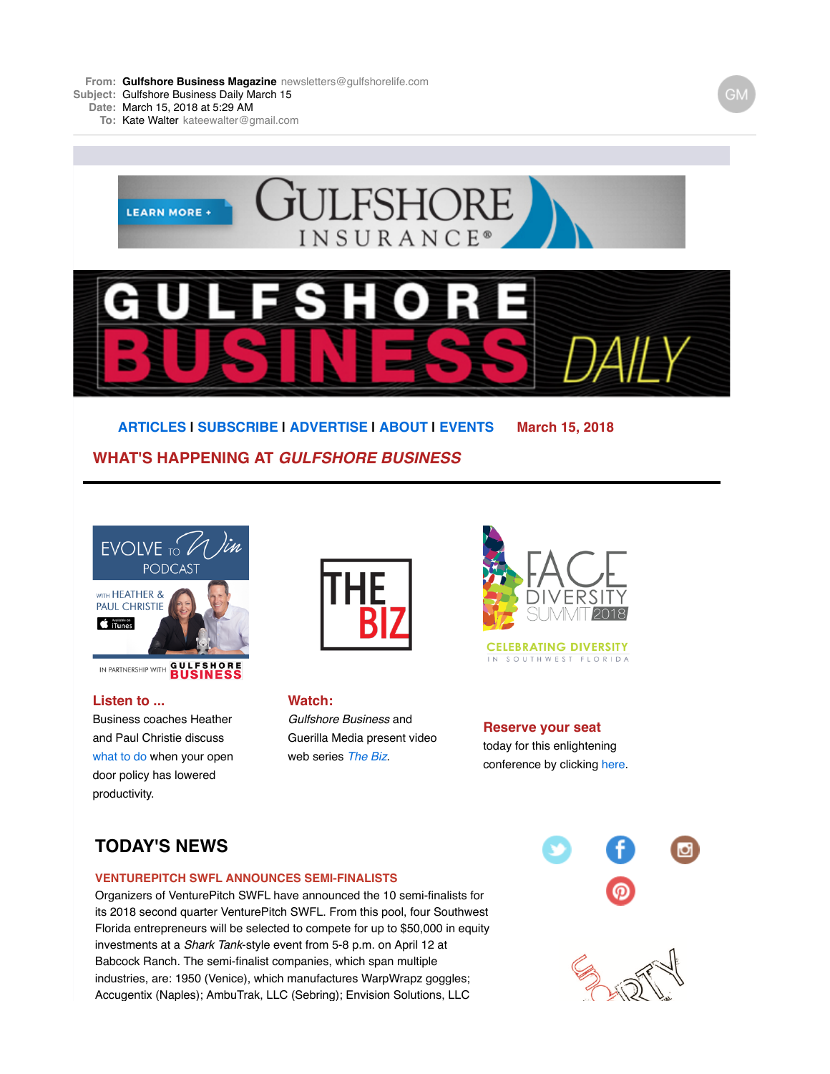**From: Gulfshore Business [Magazine](mailto:Magazinenewsletters@gulfshorelife.com)** [newsletters@gulfshorelife.com](mailto:Magazinenewsletters@gulfshorelife.com) **Subject:** Gulfshore Business Daily March 15

**Date:** March 15, 2018 at 5:29 AM

**To:** Kate [Walter](mailto:Walterkateewalter@gmail.com) [kateewalter@gmail.com](mailto:Walterkateewalter@gmail.com)



**[ARTICLES](http://email.robly.com/mpss/c/JwE/CuQcAA/t.2fs/HHDCr84tQna395MhsPbqlg/h2/J-2F1rJNDDXCl9e0gbP4BbSR13HkOIUAlp75OM2Jc-2FCu3jR99YQ9dVN9lzdAUYSJz-2F) | [SUBSCRIBE](http://email.robly.com/mpss/c/JwE/CuQcAA/t.2fs/HHDCr84tQna395MhsPbqlg/h3/wyQU-2Br6z6SvLlAQz6t1U6GofYLBrNE1-2BGp7DfFRYENHsRaSRBsTXejjelx89JgPSJSoBHuDS6qX0YqlzJeCDyPmAA1BzDedbjAI-2BoD8-2FTbc-3D) | [ADVERTISE](http://email.robly.com/mpss/c/JwE/CuQcAA/t.2fs/HHDCr84tQna395MhsPbqlg/h4/J-2F1rJNDDXCl9e0gbP4BbSR13HkOIUAlp75OM2Jc-2FCu0GgFuf2hlrA-2Fm23bk1x17kfZNI8esds9T9FJuMK6eXOA-3D-3D) | [ABOUT](http://email.robly.com/mpss/c/JwE/CuQcAA/t.2fs/HHDCr84tQna395MhsPbqlg/h5/J-2F1rJNDDXCl9e0gbP4BbSR13HkOIUAlp75OM2Jc-2FCu3P1TaKJzPKmvEPDfgxVq0j) | [EVENTS](http://email.robly.com/mpss/c/JwE/CuQcAA/t.2fs/HHDCr84tQna395MhsPbqlg/h6/J-2F1rJNDDXCl9e0gbP4BbSR13HkOIUAlp75OM2Jc-2FCu3jR99YQ9dVN9lzdAUYSJz-2F) March 15, 2018 WHAT'S HAPPENING AT** *GULFSHORE BUSINESS*



IN PARTNERSHIP WITH **GULFSHORE** 

## **Listen to ...**

Business coaches Heather and Paul Christie [d](http://email.robly.com/mpss/c/JwE/CuQcAA/t.2fs/HHDCr84tQna395MhsPbqlg/h8/wbdTRWlsdEbLGxVdhd-2BFS5wHt-2FktcXwYgpdtMp-2BBDVcswI9-2FXHeQ2fk-2F4SWqZ7rJHEjAdIbhasbylz-2FgbT-2FFUEwnHHgEpCt6uRFqZrLvy4Y-3D)iscuss [what to do](http://email.robly.com/mpss/c/JwE/CuQcAA/t.2fs/HHDCr84tQna395MhsPbqlg/h9/wbdTRWlsdEbLGxVdhd-2BFS7cFNBbobklga9mYOuoLIi1kbP-2Fh2CLV56qq15KyTb0-2BUCXxhefMIWgVzFII4rriyw-3D-3D) when your open door policy has lowered productivity.



**Watch:** *Gulfshore Business* and Guerilla Media present video web series *[The Biz](http://email.robly.com/mpss/c/JwE/CuQcAA/t.2fs/HHDCr84tQna395MhsPbqlg/h11/IyA1he1NXzFgrHpFyyrmoMYA-2FF1nBqtrl2f9cRQn4bM-3D)*.



**CELEBRATING DIVERSITY** IN SOUTHWEST FLORIDA

**Reserve your seat** today for this enlightening conference by clicking [here](http://email.robly.com/mpss/c/JwE/CuQcAA/t.2fs/HHDCr84tQna395MhsPbqlg/h13/xJrMMY9YHPke4C2NyEm3IYAdRaK6CfA32-2BoTbUb3HAcE3xpSmA5o9ZrN4K5EVvLt).

# **TODAY'S NEWS**

### **VENTUREPITCH SWFL ANNOUNCES SEMI-FINALISTS**

Organizers of VenturePitch SWFL have announced the 10 semi-finalists for its 2018 second quarter VenturePitch SWFL. From this pool, four Southwest Florida entrepreneurs will be selected to compete for up to \$50,000 in equity investments at a *Shark Tank*-style event from 5-8 p.m. on April 12 at Babcock Ranch. The semi-finalist companies, which span multiple industries, are: 1950 (Venice), which manufactures WarpWrapz goggles; Accugentix (Naples); AmbuTrak, LLC (Sebring); Envision Solutions, LLC